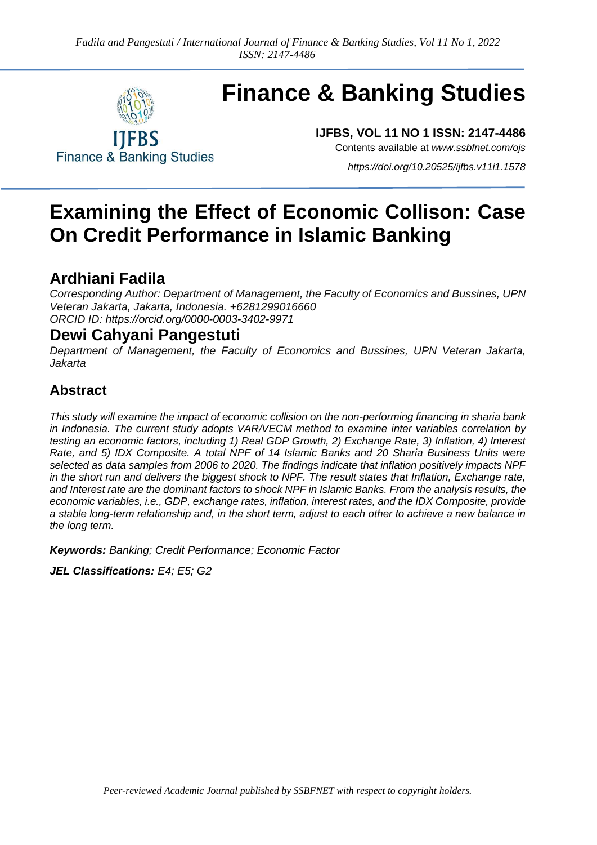

**Finance & Banking Studies** 

# **Finance & Banking Studies**

**IJFBS, VOL 11 NO 1 ISSN: 2147-4486** Contents available at *[www.ssbfnet.com/ojs](http://www.ssbfnet.com/ojs)*

*<https://doi.org/10.20525/ijfbs.v11i1.1578>*

## **Examining the Effect of Economic Collison: Case On Credit Performance in Islamic Banking**

### **Ardhiani Fadila**

*Corresponding Author: Department of Management, the Faculty of Economics and Bussines, UPN Veteran Jakarta, Jakarta, Indonesia. +6281299016660 ORCID ID:<https://orcid.org/0000-0003-3402-9971>*

### **Dewi Cahyani Pangestuti**

*Department of Management, the Faculty of Economics and Bussines, UPN Veteran Jakarta, Jakarta*

### **Abstract**

*This study will examine the impact of economic collision on the non-performing financing in sharia bank in Indonesia. The current study adopts VAR/VECM method to examine inter variables correlation by testing an economic factors, including 1) Real GDP Growth, 2) Exchange Rate, 3) Inflation, 4) Interest Rate, and 5) IDX Composite. A total NPF of 14 Islamic Banks and 20 Sharia Business Units were selected as data samples from 2006 to 2020. The findings indicate that inflation positively impacts NPF in the short run and delivers the biggest shock to NPF. The result states that Inflation, Exchange rate, and Interest rate are the dominant factors to shock NPF in Islamic Banks. From the analysis results, the economic variables, i.e., GDP, exchange rates, inflation, interest rates, and the IDX Composite, provide a stable long-term relationship and, in the short term, adjust to each other to achieve a new balance in the long term.*

*Keywords: Banking; Credit Performance; Economic Factor*

*JEL Classifications: E4; E5; G2*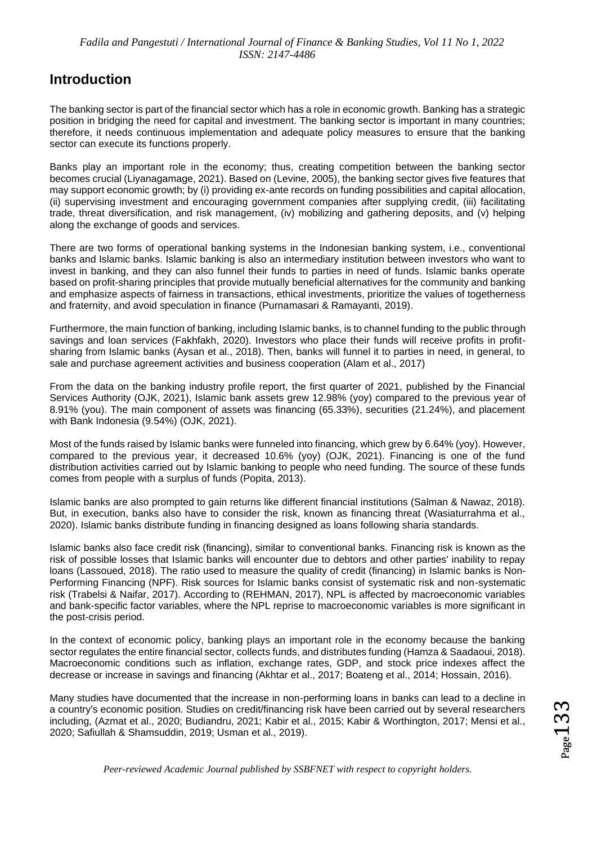### **Introduction**

The banking sector is part of the financial sector which has a role in economic growth. Banking has a strategic position in bridging the need for capital and investment. The banking sector is important in many countries; therefore, it needs continuous implementation and adequate policy measures to ensure that the banking sector can execute its functions properly.

Banks play an important role in the economy; thus, creating competition between the banking sector becomes crucial (Liyanagamage, 2021). Based on (Levine, 2005), the banking sector gives five features that may support economic growth; by (i) providing ex-ante records on funding possibilities and capital allocation, (ii) supervising investment and encouraging government companies after supplying credit, (iii) facilitating trade, threat diversification, and risk management, (iv) mobilizing and gathering deposits, and (v) helping along the exchange of goods and services.

There are two forms of operational banking systems in the Indonesian banking system, i.e., conventional banks and Islamic banks. Islamic banking is also an intermediary institution between investors who want to invest in banking, and they can also funnel their funds to parties in need of funds. Islamic banks operate based on profit-sharing principles that provide mutually beneficial alternatives for the community and banking and emphasize aspects of fairness in transactions, ethical investments, prioritize the values of togetherness and fraternity, and avoid speculation in finance (Purnamasari & Ramayanti, 2019).

Furthermore, the main function of banking, including Islamic banks, is to channel funding to the public through savings and loan services (Fakhfakh, 2020). Investors who place their funds will receive profits in profitsharing from Islamic banks (Aysan et al., 2018). Then, banks will funnel it to parties in need, in general, to sale and purchase agreement activities and business cooperation (Alam et al., 2017)

From the data on the banking industry profile report, the first quarter of 2021, published by the Financial Services Authority (OJK, 2021), Islamic bank assets grew 12.98% (yoy) compared to the previous year of 8.91% (you). The main component of assets was financing (65.33%), securities (21.24%), and placement with Bank Indonesia (9.54%) (OJK, 2021).

Most of the funds raised by Islamic banks were funneled into financing, which grew by 6.64% (yoy). However, compared to the previous year, it decreased 10.6% (yoy) (OJK, 2021). Financing is one of the fund distribution activities carried out by Islamic banking to people who need funding. The source of these funds comes from people with a surplus of funds (Popita, 2013).

Islamic banks are also prompted to gain returns like different financial institutions (Salman & Nawaz, 2018). But, in execution, banks also have to consider the risk, known as financing threat (Wasiaturrahma et al., 2020). Islamic banks distribute funding in financing designed as loans following sharia standards.

Islamic banks also face credit risk (financing), similar to conventional banks. Financing risk is known as the risk of possible losses that Islamic banks will encounter due to debtors and other parties' inability to repay loans (Lassoued, 2018). The ratio used to measure the quality of credit (financing) in Islamic banks is Non-Performing Financing (NPF). Risk sources for Islamic banks consist of systematic risk and non-systematic risk (Trabelsi & Naifar, 2017). According to (REHMAN, 2017), NPL is affected by macroeconomic variables and bank-specific factor variables, where the NPL reprise to macroeconomic variables is more significant in the post-crisis period.

In the context of economic policy, banking plays an important role in the economy because the banking sector regulates the entire financial sector, collects funds, and distributes funding (Hamza & Saadaoui, 2018). Macroeconomic conditions such as inflation, exchange rates, GDP, and stock price indexes affect the decrease or increase in savings and financing (Akhtar et al., 2017; Boateng et al., 2014; Hossain, 2016).

Many studies have documented that the increase in non-performing loans in banks can lead to a decline in a country's economic position. Studies on credit/financing risk have been carried out by several researchers including, (Azmat et al., 2020; Budiandru, 2021; Kabir et al., 2015; Kabir & Worthington, 2017; Mensi et al., 2020; Safiullah & Shamsuddin, 2019; Usman et al., 2019).

Page 133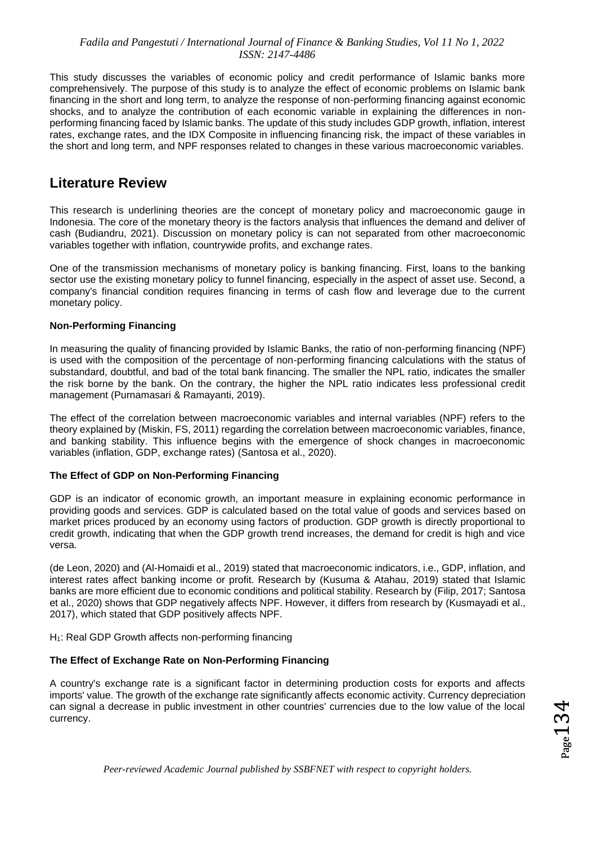This study discusses the variables of economic policy and credit performance of Islamic banks more comprehensively. The purpose of this study is to analyze the effect of economic problems on Islamic bank financing in the short and long term, to analyze the response of non-performing financing against economic shocks, and to analyze the contribution of each economic variable in explaining the differences in nonperforming financing faced by Islamic banks. The update of this study includes GDP growth, inflation, interest rates, exchange rates, and the IDX Composite in influencing financing risk, the impact of these variables in the short and long term, and NPF responses related to changes in these various macroeconomic variables.

### **Literature Review**

This research is underlining theories are the concept of monetary policy and macroeconomic gauge in Indonesia. The core of the monetary theory is the factors analysis that influences the demand and deliver of cash (Budiandru, 2021). Discussion on monetary policy is can not separated from other macroeconomic variables together with inflation, countrywide profits, and exchange rates.

One of the transmission mechanisms of monetary policy is banking financing. First, loans to the banking sector use the existing monetary policy to funnel financing, especially in the aspect of asset use. Second, a company's financial condition requires financing in terms of cash flow and leverage due to the current monetary policy.

### **Non-Performing Financing**

In measuring the quality of financing provided by Islamic Banks, the ratio of non-performing financing (NPF) is used with the composition of the percentage of non-performing financing calculations with the status of substandard, doubtful, and bad of the total bank financing. The smaller the NPL ratio, indicates the smaller the risk borne by the bank. On the contrary, the higher the NPL ratio indicates less professional credit management (Purnamasari & Ramayanti, 2019).

The effect of the correlation between macroeconomic variables and internal variables (NPF) refers to the theory explained by (Miskin, FS, 2011) regarding the correlation between macroeconomic variables, finance, and banking stability. This influence begins with the emergence of shock changes in macroeconomic variables (inflation, GDP, exchange rates) (Santosa et al., 2020).

### **The Effect of GDP on Non-Performing Financing**

GDP is an indicator of economic growth, an important measure in explaining economic performance in providing goods and services. GDP is calculated based on the total value of goods and services based on market prices produced by an economy using factors of production. GDP growth is directly proportional to credit growth, indicating that when the GDP growth trend increases, the demand for credit is high and vice versa.

(de Leon, 2020) and (Al-Homaidi et al., 2019) stated that macroeconomic indicators, i.e., GDP, inflation, and interest rates affect banking income or profit. Research by (Kusuma & Atahau, 2019) stated that Islamic banks are more efficient due to economic conditions and political stability. Research by (Filip, 2017; Santosa et al., 2020) shows that GDP negatively affects NPF. However, it differs from research by (Kusmayadi et al., 2017), which stated that GDP positively affects NPF.

H<sub>1</sub>: Real GDP Growth affects non-performing financing

### **The Effect of Exchange Rate on Non-Performing Financing**

A country's exchange rate is a significant factor in determining production costs for exports and affects imports' value. The growth of the exchange rate significantly affects economic activity. Currency depreciation can signal a decrease in public investment in other countries' currencies due to the low value of the local currency.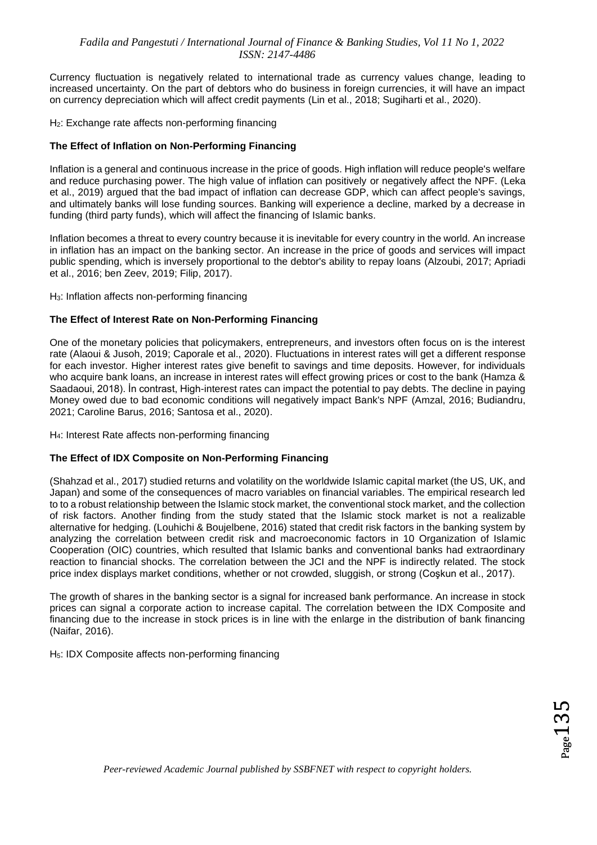Currency fluctuation is negatively related to international trade as currency values change, leading to increased uncertainty. On the part of debtors who do business in foreign currencies, it will have an impact on currency depreciation which will affect credit payments (Lin et al., 2018; Sugiharti et al., 2020).

H2: Exchange rate affects non-performing financing

### **The Effect of Inflation on Non-Performing Financing**

Inflation is a general and continuous increase in the price of goods. High inflation will reduce people's welfare and reduce purchasing power. The high value of inflation can positively or negatively affect the NPF. (Leka et al., 2019) argued that the bad impact of inflation can decrease GDP, which can affect people's savings, and ultimately banks will lose funding sources. Banking will experience a decline, marked by a decrease in funding (third party funds), which will affect the financing of Islamic banks.

Inflation becomes a threat to every country because it is inevitable for every country in the world. An increase in inflation has an impact on the banking sector. An increase in the price of goods and services will impact public spending, which is inversely proportional to the debtor's ability to repay loans (Alzoubi, 2017; Apriadi et al., 2016; ben Zeev, 2019; Filip, 2017).

H3: Inflation affects non-performing financing

### **The Effect of Interest Rate on Non-Performing Financing**

One of the monetary policies that policymakers, entrepreneurs, and investors often focus on is the interest rate (Alaoui & Jusoh, 2019; Caporale et al., 2020). Fluctuations in interest rates will get a different response for each investor. Higher interest rates give benefit to savings and time deposits. However, for individuals who acquire bank loans, an increase in interest rates will effect growing prices or cost to the bank (Hamza & Saadaoui, 2018). İn contrast, High-interest rates can impact the potential to pay debts. The decline in paying Money owed due to bad economic conditions will negatively impact Bank's NPF (Amzal, 2016; Budiandru, 2021; Caroline Barus, 2016; Santosa et al., 2020).

H4: Interest Rate affects non-performing financing

### **The Effect of IDX Composite on Non-Performing Financing**

(Shahzad et al., 2017) studied returns and volatility on the worldwide Islamic capital market (the US, UK, and Japan) and some of the consequences of macro variables on financial variables. The empirical research led to to a robust relationship between the Islamic stock market, the conventional stock market, and the collection of risk factors. Another finding from the study stated that the Islamic stock market is not a realizable alternative for hedging. (Louhichi & Boujelbene, 2016) stated that credit risk factors in the banking system by analyzing the correlation between credit risk and macroeconomic factors in 10 Organization of Islamic Cooperation (OIC) countries, which resulted that Islamic banks and conventional banks had extraordinary reaction to financial shocks. The correlation between the JCI and the NPF is indirectly related. The stock price index displays market conditions, whether or not crowded, sluggish, or strong (Coşkun et al., 2017).

The growth of shares in the banking sector is a signal for increased bank performance. An increase in stock prices can signal a corporate action to increase capital. The correlation between the IDX Composite and financing due to the increase in stock prices is in line with the enlarge in the distribution of bank financing (Naifar, 2016).

H5: IDX Composite affects non-performing financing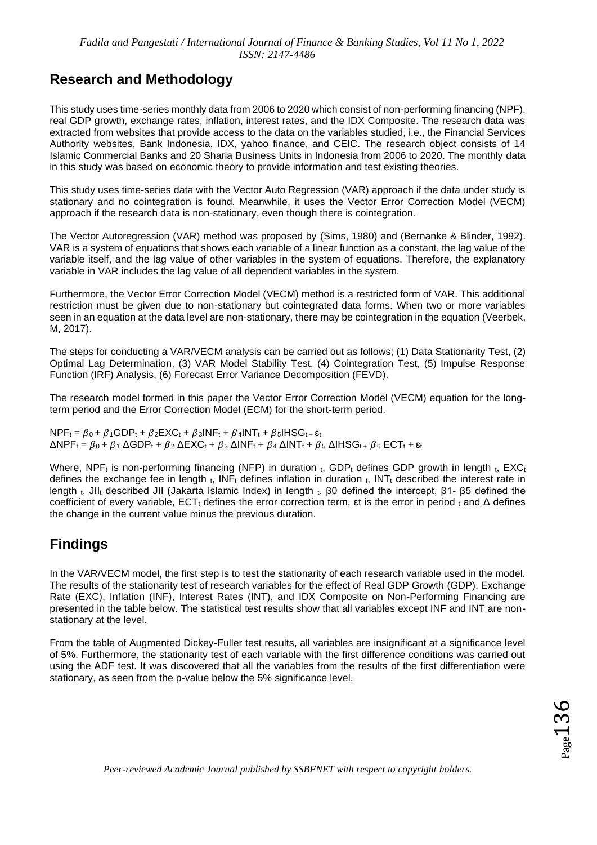### **Research and Methodology**

This study uses time-series monthly data from 2006 to 2020 which consist of non-performing financing (NPF), real GDP growth, exchange rates, inflation, interest rates, and the IDX Composite. The research data was extracted from websites that provide access to the data on the variables studied, i.e., the Financial Services Authority websites, Bank Indonesia, IDX, yahoo finance, and CEIC. The research object consists of 14 Islamic Commercial Banks and 20 Sharia Business Units in Indonesia from 2006 to 2020. The monthly data in this study was based on economic theory to provide information and test existing theories.

This study uses time-series data with the Vector Auto Regression (VAR) approach if the data under study is stationary and no cointegration is found. Meanwhile, it uses the Vector Error Correction Model (VECM) approach if the research data is non-stationary, even though there is cointegration.

The Vector Autoregression (VAR) method was proposed by (Sims, 1980) and (Bernanke & Blinder, 1992). VAR is a system of equations that shows each variable of a linear function as a constant, the lag value of the variable itself, and the lag value of other variables in the system of equations. Therefore, the explanatory variable in VAR includes the lag value of all dependent variables in the system.

Furthermore, the Vector Error Correction Model (VECM) method is a restricted form of VAR. This additional restriction must be given due to non-stationary but cointegrated data forms. When two or more variables seen in an equation at the data level are non-stationary, there may be cointegration in the equation (Veerbek, M, 2017).

The steps for conducting a VAR/VECM analysis can be carried out as follows; (1) Data Stationarity Test, (2) Optimal Lag Determination, (3) VAR Model Stability Test, (4) Cointegration Test, (5) Impulse Response Function (IRF) Analysis, (6) Forecast Error Variance Decomposition (FEVD).

The research model formed in this paper the Vector Error Correction Model (VECM) equation for the longterm period and the Error Correction Model (ECM) for the short-term period.

 $NPF_t = \beta_0 + \beta_1 GDP_t + \beta_2 EXC_t + \beta_3 INF_t + \beta_4 INT_t + \beta_5 IHSG_t + \epsilon_t$  $\triangle$ NPF<sub>t</sub> =  $\beta$ <sub>0</sub> +  $\beta$ <sub>1</sub>  $\triangle$ GDP<sub>t</sub> +  $\beta$ <sub>2</sub>  $\triangle$ EXC<sub>t</sub> +  $\beta$ <sub>3</sub>  $\triangle$ INF<sub>t</sub> +  $\beta$ <sub>4</sub>  $\triangle$ INT<sub>t</sub> +  $\beta$ <sub>5</sub>  $\triangle$ IHSG<sub>t +</sub>  $\beta$ <sub>6</sub> ECT<sub>t</sub> +  $\epsilon$ <sub>t</sub>

Where, NPF<sub>t</sub> is non-performing financing (NFP) in duration  $t$ , GDP<sub>t</sub> defines GDP growth in length  $t$ , EXC<sub>t</sub> defines the exchange fee in length  $_t$ , INF<sub>t</sub> defines inflation in duration  $_t$ , INT<sub>t</sub> described the interest rate in length t, JIIt described JII (Jakarta Islamic Index) in length t. β0 defined the intercept, β1- β5 defined the coefficient of every variable, ECT<sub>t</sub> defines the error correction term,  $\varepsilon t$  is the error in period t and  $\Delta$  defines the change in the current value minus the previous duration.

### **Findings**

In the VAR/VECM model, the first step is to test the stationarity of each research variable used in the model. The results of the stationarity test of research variables for the effect of Real GDP Growth (GDP), Exchange Rate (EXC), Inflation (INF), Interest Rates (INT), and IDX Composite on Non-Performing Financing are presented in the table below. The statistical test results show that all variables except INF and INT are nonstationary at the level.

From the table of Augmented Dickey-Fuller test results, all variables are insignificant at a significance level of 5%. Furthermore, the stationarity test of each variable with the first difference conditions was carried out using the ADF test. It was discovered that all the variables from the results of the first differentiation were stationary, as seen from the p-value below the 5% significance level.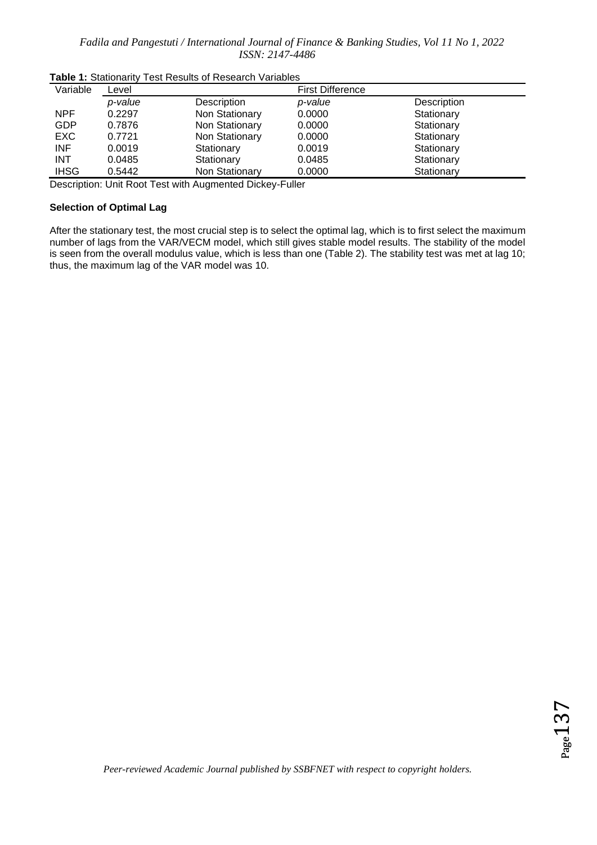| Variable    | Level   |                | <b>First Difference</b> |             |
|-------------|---------|----------------|-------------------------|-------------|
|             | p-value | Description    | p-value                 | Description |
| <b>NPF</b>  | 0.2297  | Non Stationary | 0.0000                  | Stationary  |
| GDP         | 0.7876  | Non Stationary | 0.0000                  | Stationary  |
| <b>EXC</b>  | 0.7721  | Non Stationary | 0.0000                  | Stationary  |
| <b>INF</b>  | 0.0019  | Stationary     | 0.0019                  | Stationary  |
| <b>INT</b>  | 0.0485  | Stationary     | 0.0485                  | Stationary  |
| <b>IHSG</b> | 0.5442  | Non Stationary | 0.0000                  | Stationary  |

| Table 1: Stationarity Test Results of Research Variables |
|----------------------------------------------------------|
|----------------------------------------------------------|

Description: Unit Root Test with Augmented Dickey-Fuller

#### **Selection of Optimal Lag**

After the stationary test, the most crucial step is to select the optimal lag, which is to first select the maximum number of lags from the VAR/VECM model, which still gives stable model results. The stability of the model is seen from the overall modulus value, which is less than one (Table 2). The stability test was met at lag 10; thus, the maximum lag of the VAR model was 10.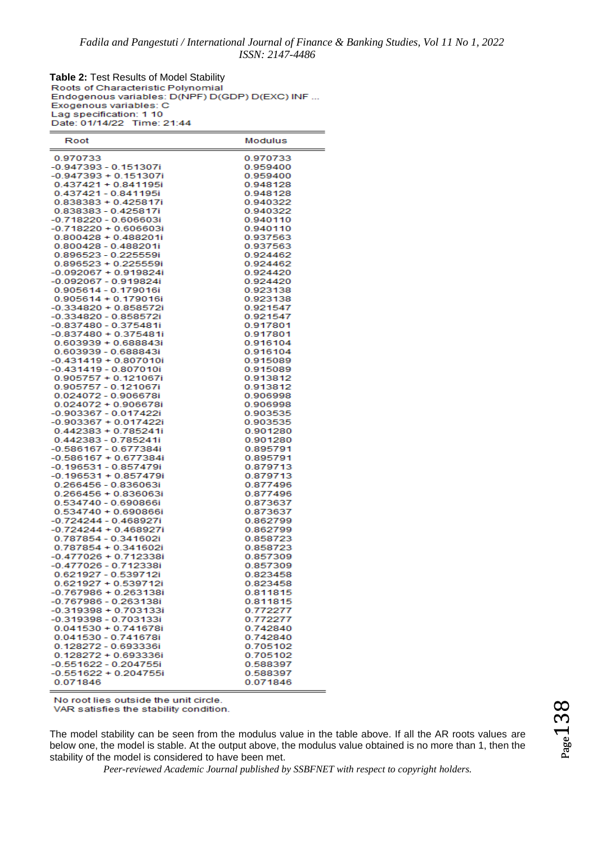**Table 2: Test Results of Model Stability<br>Roots of Characteristic Polynomial** Endogenous variables: D(NPF) D(GDP) D(EXC) INF ... Exogenous variables: C Lag specification: 1 10 Date: 01/14/22 Time: 21:44

| Root                                              | Modulus              |
|---------------------------------------------------|----------------------|
| 0.970733                                          | 0.970733             |
| -0.947393 - 0.151307i                             | 0.959400             |
| $-0.947393 + 0.151307i$                           | 0.959400             |
| $0.437421 + 0.841195i$                            | 0.948128             |
| 0.437421 - 0.841195i                              | 0.948128             |
| $0.838383 + 0.425817i$                            | 0.940322<br>0.940322 |
| 0.838383 - 0.425817i<br>-0.718220 - 0.606603i     | 0.940110             |
| $-0.718220 + 0.606603i$                           | 0.940110             |
| $0.800428 + 0.488201i$                            | 0.937563             |
| 0.800428 - 0.488201i                              | 0.937563             |
| 0.896523 - 0.225559i                              | 0.924462             |
| $0.896523 + 0.225559i$                            | 0.924462             |
| $-0.092067 + 0.919824i$                           | 0.924420             |
| -0.092067 - 0.919824i                             | 0.924420             |
| 0.905614 - 0.179016i                              | 0.923138             |
| $0.905614 + 0.179016i$                            | 0.923138             |
| $-0.334820 + 0.858572i$                           | 0.921547             |
| -0.334820 - 0.858572i                             | 0.921547             |
| -0.837480 - 0.375481i                             | 0.917801             |
| $-0.837480 + 0.375481i$<br>$0.603939 + 0.688843i$ | 0.917801             |
| 0.603939 - 0.688843i                              | 0.916104<br>0.916104 |
| $-0.431419 + 0.807010i$                           | 0.915089             |
| -0.431419 - 0.807010i                             | 0.915089             |
| $0.905757 + 0.121067i$                            | 0.913812             |
| 0.905757 - 0.121067i                              | 0.913812             |
| 0.024072 - 0.906678i                              | 0.906998             |
| $0.024072 + 0.906678i$                            | 0.906998             |
| $-0.903367 - 0.017422i$                           | 0.903535             |
| $-0.903367 + 0.017422i$                           | 0.903535             |
| $0.442383 + 0.785241i$                            | 0.901280             |
| 0.442383 - 0.785241i                              | 0.901280             |
| -0.586167 - 0.677384i                             | 0.895791             |
| -0.586167 + 0.677384i                             | 0.895791             |
| -0.196531 - 0.857479i                             | 0.879713             |
| $-0.196531 + 0.857479i$                           | 0.879713             |
| 0.266456 - 0.836063i                              | 0.877496             |
| $0.266456 + 0.836063i$                            | 0.877496             |
| 0.534740 - 0.690866i<br>$0.534740 + 0.690866i$    | 0.873637             |
| -0.724244 - 0.468927i                             | 0.873637<br>0.862799 |
| $-0.724244 + 0.468927i$                           | 0.862799             |
| 0.787854 - 0.341602i                              | 0.858723             |
| $0.787854 + 0.341602i$                            | 0.858723             |
| $-0.477026 + 0.712338i$                           | 0.857309             |
| -0.477026 - 0.712338i                             | 0.857309             |
| 0.621927 - 0.539712i                              | 0.823458             |
| $0.621927 + 0.539712i$                            | 0.823458             |
| $-0.767986 + 0.263138i$                           | 0.811815             |
| -0.767986 - 0.263138i                             | 0.811815             |
| $-0.319398 + 0.703133i$                           | 0.772277             |
| -0.319398 - 0.703133i                             | 0.772277             |
| $0.041530 + 0.741678i$                            | 0.742840             |
| 0.041530 - 0.741678i                              | 0.742840             |
| 0.128272 - 0.693336i                              | 0.705102             |
| $0.128272 + 0.693336i$                            | 0.705102             |
| -0.551622 - 0.204755i                             | 0.588397             |
| $-0.551622 + 0.204755i$                           | 0.588397             |
| 0.071846                                          | 0.071846             |

No root lies outside the unit circle.

VAR satisfies the stability condition.

The model stability can be seen from the modulus value in the table above. If all the AR roots values are below one, the model is stable. At the output above, the modulus value obtained is no more than 1, then the stability of the model is considered to have been met.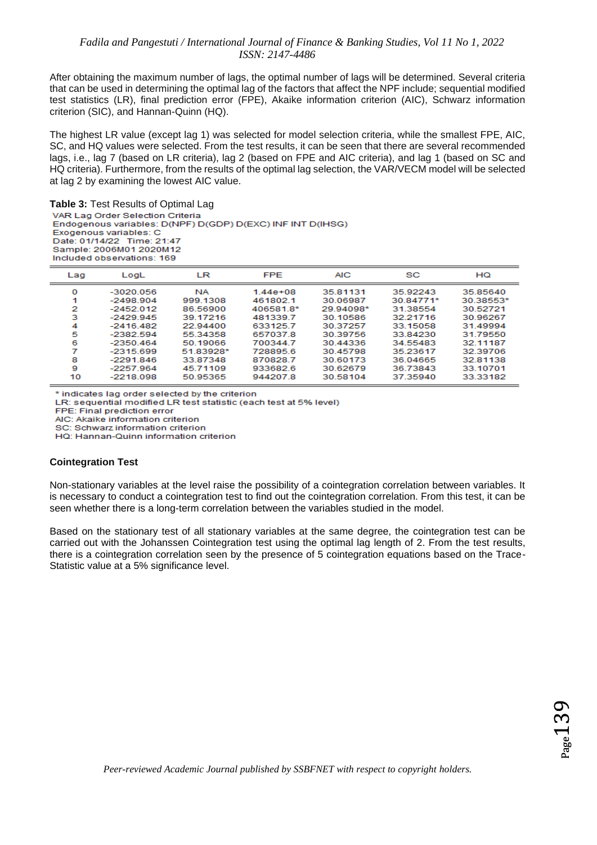After obtaining the maximum number of lags, the optimal number of lags will be determined. Several criteria that can be used in determining the optimal lag of the factors that affect the NPF include; sequential modified test statistics (LR), final prediction error (FPE), Akaike information criterion (AIC), Schwarz information criterion (SIC), and Hannan-Quinn (HQ).

The highest LR value (except lag 1) was selected for model selection criteria, while the smallest FPE, AIC, SC, and HQ values were selected. From the test results, it can be seen that there are several recommended lags, i.e., lag 7 (based on LR criteria), lag 2 (based on FPE and AIC criteria), and lag 1 (based on SC and HQ criteria). Furthermore, from the results of the optimal lag selection, the VAR/VECM model will be selected at lag 2 by examining the lowest AIC value.

**Table 3: Test Results of Optimal Lag<br>VAR Lag Order Selection Criteria** Endogenous variables: D(NPF) D(GDP) D(EXC) INF INT D(IHSG) Exogenous variables: C Date: 01/14/22 Time: 21:47 Sample: 2006M01 2020M12 Included observations: 169

| Lag | LogL        | LR        | <b>FPE</b>   | AIC-      | <b>SC</b> | HQ        |
|-----|-------------|-----------|--------------|-----------|-----------|-----------|
| o   | $-3020.056$ | <b>NA</b> | $1.44e + 08$ | 35.81131  | 35.92243  | 35.85640  |
|     | $-2498.904$ | 999.1308  | 461802.1     | 30.06987  | 30.84771* | 30.38553* |
| 2   | $-2452012$  | 86.56900  | 406581.8*    | 29.94098* | 31.38554  | 30.52721  |
| з   | $-2429.945$ | 39.17216  | 481339.7     | 30.10586  | 32.21716  | 30.96267  |
| 4   | $-2416482$  | 22.94400  | 6331257      | 30.37257  | 33.15058  | 3149994   |
| 5   | $-2382.594$ | 55.34358  | 657037.8     | 30.39756  | 33.84230  | 31.79550  |
| 6   | $-2350464$  | 50 19066  | 7003447      | 30 44336  | 34 55483  | 32 11187  |
| 7   | $-2315.699$ | 51.83928* | 728895.6     | 30 45798  | 35.23617  | 32.39706  |
| 8   | $-2291.846$ | 33.87348  | 870828.7     | 30.60173  | 36.04665  | 32.81138  |
| 9   | $-2257.964$ | 45.71109  | 933682.6     | 30.62679  | 36.73843  | 33.10701  |
| 10  | $-2218.098$ | 50.95365  | 944207.8     | 30.58104  | 37.35940  | 33.33182  |

\* indicates lag order selected by the criterion

LR: sequential modified LR test statistic (each test at 5% level)

FPE: Final prediction error

AIC: Akaike information criterion

SC: Schwarz information criterion HQ: Hannan-Quinn information criterion

#### **Cointegration Test**

Non-stationary variables at the level raise the possibility of a cointegration correlation between variables. It is necessary to conduct a cointegration test to find out the cointegration correlation. From this test, it can be seen whether there is a long-term correlation between the variables studied in the model.

Based on the stationary test of all stationary variables at the same degree, the cointegration test can be carried out with the Johanssen Cointegration test using the optimal lag length of 2. From the test results, there is a cointegration correlation seen by the presence of 5 cointegration equations based on the Trace-Statistic value at a 5% significance level.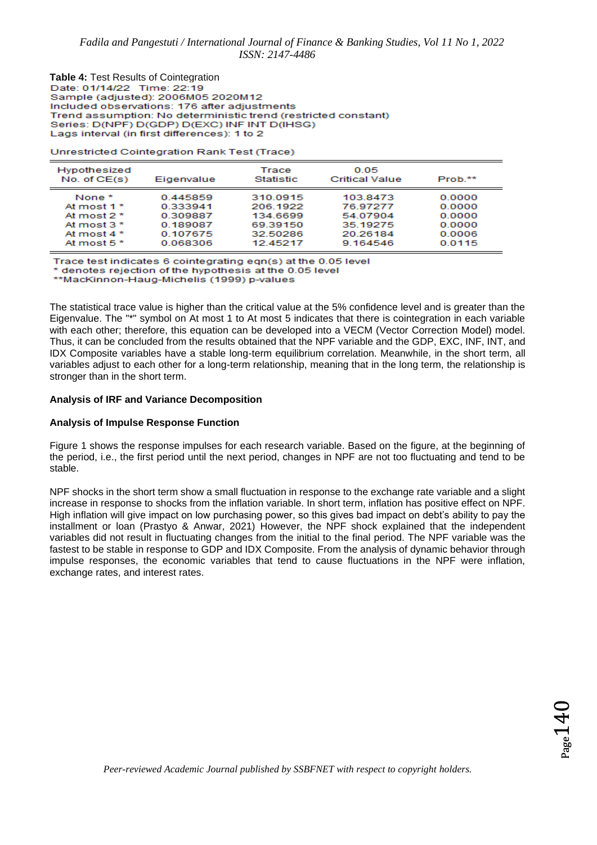**Table 4: Test Results of Cointegration<br>Date: 01/14/22 Time: 22:19** Sample (adjusted): 2006M05 2020M12 Included observations: 176 after adjustments Trend assumption: No deterministic trend (restricted constant) Series: D(NPF) D(GDP) D(EXC) INF INT D(IHSG) Lags interval (in first differences): 1 to 2

| Hypothesized<br>No. of CE(s)                                                              | Eigenvalue                                                           | Trace<br><b>Statistic</b>                                           | 0.05<br><b>Critical Value</b>                                       | $Prob**$                                                 |
|-------------------------------------------------------------------------------------------|----------------------------------------------------------------------|---------------------------------------------------------------------|---------------------------------------------------------------------|----------------------------------------------------------|
| None *<br>At most 1 $*$<br>At most $2^*$<br>At most $3*$<br>At most $4 *$<br>At most $5*$ | 0.445859<br>0.333941<br>0.309887<br>0.189087<br>0.107675<br>0.068306 | 310.0915<br>206 1922<br>134 6699<br>69.39150<br>32.50286<br>1245217 | 1038473<br>76.97277<br>54 07904<br>35.19275<br>20.26184<br>9.164546 | 0.0000<br>0.0000<br>0.0000<br>0.0000<br>0.0006<br>0.0115 |

Unrestricted Cointegration Rank Test (Trace)

Trace test indicates 6 cointegrating eqn(s) at the 0.05 level

\* denotes rejection of the hypothesis at the 0.05 level

\*\*MacKinnon-Haug-Michelis (1999) p-values

The statistical trace value is higher than the critical value at the 5% confidence level and is greater than the Eigenvalue. The "\*" symbol on At most 1 to At most 5 indicates that there is cointegration in each variable with each other; therefore, this equation can be developed into a VECM (Vector Correction Model) model. Thus, it can be concluded from the results obtained that the NPF variable and the GDP, EXC, INF, INT, and IDX Composite variables have a stable long-term equilibrium correlation. Meanwhile, in the short term, all variables adjust to each other for a long-term relationship, meaning that in the long term, the relationship is stronger than in the short term.

#### **Analysis of IRF and Variance Decomposition**

#### **Analysis of Impulse Response Function**

Figure 1 shows the response impulses for each research variable. Based on the figure, at the beginning of the period, i.e., the first period until the next period, changes in NPF are not too fluctuating and tend to be stable.

NPF shocks in the short term show a small fluctuation in response to the exchange rate variable and a slight increase in response to shocks from the inflation variable. In short term, inflation has positive effect on NPF. High inflation will give impact on low purchasing power, so this gives bad impact on debt's ability to pay the installment or loan (Prastyo & Anwar, 2021) However, the NPF shock explained that the independent variables did not result in fluctuating changes from the initial to the final period. The NPF variable was the fastest to be stable in response to GDP and IDX Composite. From the analysis of dynamic behavior through impulse responses, the economic variables that tend to cause fluctuations in the NPF were inflation, exchange rates, and interest rates.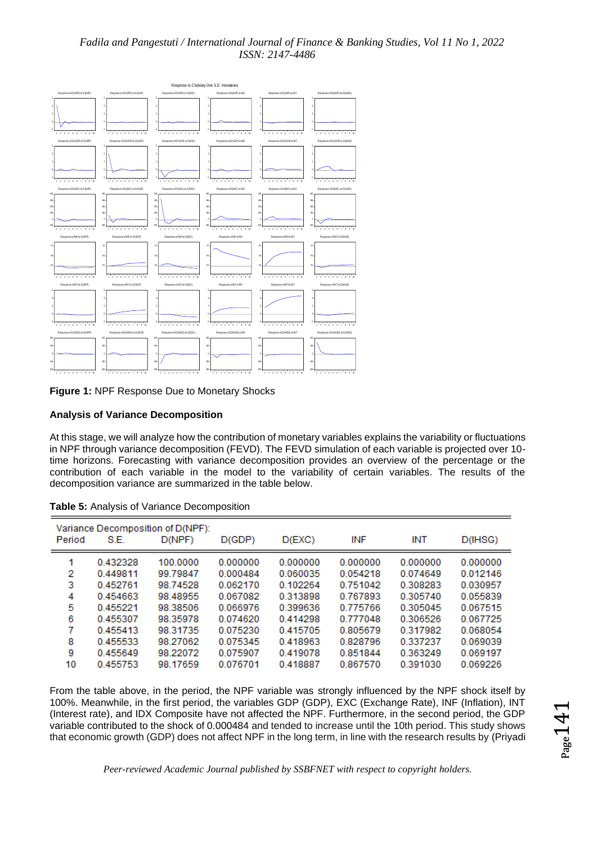| Response to Cholesky One S.D. Innovations                                                      |                                                                   |                                                                                       |                                                                                                |                                                    |                                                                                                |  |  |  |
|------------------------------------------------------------------------------------------------|-------------------------------------------------------------------|---------------------------------------------------------------------------------------|------------------------------------------------------------------------------------------------|----------------------------------------------------|------------------------------------------------------------------------------------------------|--|--|--|
| Response of D(NPF) to D(NPF)                                                                   | Response of D(NPF) to D(GDP)                                      | Response of D(NPF) to D(EXC)                                                          | Response of D(NPF) to NF                                                                       | Response of D(NPF) to NT                           | Response of D(NPF) to D(IHSG)                                                                  |  |  |  |
| $1^{\circ}2^{\circ}3^{\circ}4^{\circ}5^{\circ}6^{\circ}7^{\circ}8^{\circ}9^{\circ}10$          | $1 \t2 \t3 \t4 \t5 \t6 \t7 \t8 \t9 \t9$                           | $1^{\circ}2^{\circ}3^{\circ}4^{\circ}5^{\circ}6^{\circ}7^{\circ}8^{\circ}9^{\circ}10$ | $1\ 2\ 3\ 4\ 5\ 6\ 7\ 8\ 9\ 10$                                                                | 1234567890                                         | $12$ 3 4 5 6 7 8 9 10                                                                          |  |  |  |
| Response of D(GDP) to D(NPF)                                                                   | Response of D(GDP) to D(GDP)                                      | Response of D(GDP) to D(EXC)                                                          | Response of D(GDP) to NF                                                                       | Response of D(GDP) to NT                           | Response of D(GDP) to D(IHSG)                                                                  |  |  |  |
| $1^{\circ}2^{\circ}3^{\circ}4^{\circ}5^{\circ}6^{\circ}7^{\circ}8^{\circ}9^{\circ}10$          | $1 \t2 \t3 \t4 \t5 \t6 \t7 \t8 \t9 \t10$                          | 1234567890                                                                            | 1234567899                                                                                     | 1234567890                                         | $1^{\prime}2^{\prime}3^{\prime}4^{\prime}5^{\prime}6^{\prime}7^{\prime}8^{\prime}9^{\prime}70$ |  |  |  |
| Response of D(EXC) to D(NPF)                                                                   | Response of D(EXC) to D(GDP)                                      | Response of D(EXC) to D(EXC)                                                          | Response of D(EXC) to NF                                                                       | Response of D(EXC) to NT                           | Response of D(EXC) to D(IHSG)                                                                  |  |  |  |
| 4X<br>300<br>200<br>100<br>$2$ $3$ $4$ $5$ $6$ $7$ $8$ $9$ $10$                                | 4m<br>300<br>zn.<br>100<br>$41516171819130$<br>t.<br>$2^{\circ}3$ | 4h<br>300<br>200<br>100<br>n<br>234567890                                             | AY.<br>300<br>200<br>100<br>$2$ $3$ $4$ $5$ $6$ $7$ $8$ $9$ $10$                               | 400<br>300<br>200<br>130<br>4567890<br>$1 \t2 \t3$ | 300<br>200<br>100<br>4587898                                                                   |  |  |  |
| Response of NF to D(NPF)                                                                       | Response of NF to D(GDP)                                          | Response of NF to D(EXC)                                                              | Response of NF to NF                                                                           | Response of NF to NT                               | Response of NF to D(HSG)                                                                       |  |  |  |
| 1234567890                                                                                     | 65<br>$1\ 2\ 3\ 4\ 5\ 6\ 7\ 8\ 9\ 10$                             | 05<br>1234567890                                                                      | 05<br>o.<br>1234567898                                                                         | û5<br>Δf<br>1234567890                             | 1234567898                                                                                     |  |  |  |
| Response of NT to D(NPF)                                                                       | Response of NT to D(GDP)                                          | Response of NT to D(EIC)                                                              | Response of NT to NF                                                                           | Response of NT to NT                               | Response of NT to D(HSG)                                                                       |  |  |  |
| $1^{\prime}2^{\prime}3^{\prime}4^{\prime}5^{\prime}6^{\prime}7^{\prime}8^{\prime}9^{\prime}10$ | $1 \t2 \t3 \t4 \t5 \t6 \t7 \t8 \t9 \t10$                          | 1234567890                                                                            | $1^{\prime}2^{\prime}3^{\prime}4^{\prime}5^{\prime}6^{\prime}7^{\prime}8^{\prime}9^{\prime}10$ | 1234567890                                         | 1234567890                                                                                     |  |  |  |
| Response of D(HSG) to D(NPF)                                                                   | Response of D(IHSG) to D(GDP)                                     | Response of D(IHSG) to D(EXC)                                                         | Response of D(IHSG) to INF                                                                     | Response of D(IHSG) to INT                         | Response of D(IHSG) to D(IHSG)                                                                 |  |  |  |
| 100<br>.sm<br>40.<br>.                                                                         | m<br>$300 -$<br>1 2 3 4 5 6 7 8 9 9                               | 400<br>1234567893                                                                     | 100<br>.sm<br>$-300$<br>1.2.1.1.1.7.8.9.9                                                      | 130<br>3Y)<br>400<br>.                             | 100<br>$-200$                                                                                  |  |  |  |

**Figure 1:** NPF Response Due to Monetary Shocks

#### **Analysis of Variance Decomposition**

At this stage, we will analyze how the contribution of monetary variables explains the variability or fluctuations in NPF through variance decomposition (FEVD). The FEVD simulation of each variable is projected over 10 time horizons. Forecasting with variance decomposition provides an overview of the percentage or the contribution of each variable in the model to the variability of certain variables. The results of the decomposition variance are summarized in the table below.

| Variance Decomposition of D(NPF): |          |          |          |          |          |          |               |  |
|-----------------------------------|----------|----------|----------|----------|----------|----------|---------------|--|
| Period                            | S.E.     | D(NPF)   | D(GDP)   | D(EXC)   | INF      | INT      | $D($ IHSG $)$ |  |
|                                   | 0.432328 | 100,0000 | 0.000000 | 0.000000 | 0.000000 | 0.000000 | 0.000000      |  |
| 2                                 | 0.449811 | 99.79847 | 0.000484 | 0.060035 | 0.054218 | 0.074649 | 0.012146      |  |
| з                                 | 0.452761 | 98 74528 | 0.062170 | 0.102264 | 0.751042 | 0.308283 | 0.030957      |  |
| 4                                 | 0454663  | 98 48955 | 0.067082 | 0.313898 | 0767893  | 0.305740 | 0.055839      |  |
| 5                                 | 0455221  | 98.38506 | 0.066976 | 0.399636 | 0775766  | 0.305045 | 0.067515      |  |
| 6                                 | 0.455307 | 98.35978 | 0.074620 | 0.414298 | 0.777048 | 0.306526 | 0.067725      |  |
| 7                                 | 0.455413 | 98.31735 | 0.075230 | 0.415705 | 0.805679 | 0.317982 | 0.068054      |  |
| 8                                 | 0.455533 | 98.27062 | 0.075345 | 0.418963 | 0.828796 | 0.337237 | 0.069039      |  |
| 9                                 | 0.455649 | 98.22072 | 0.075907 | 0.419078 | 0.851844 | 0.363249 | 0.069197      |  |
| 10                                | 0.455753 | 98.17659 | 0.076701 | 0.418887 | 0.867570 | 0.391030 | 0.069226      |  |

**Table 5:** Analysis of Variance Decomposition

From the table above, in the period, the NPF variable was strongly influenced by the NPF shock itself by 100%. Meanwhile, in the first period, the variables GDP (GDP), EXC (Exchange Rate), INF (Inflation), INT (Interest rate), and IDX Composite have not affected the NPF. Furthermore, in the second period, the GDP variable contributed to the shock of 0.000484 and tended to increase until the 10th period. This study shows that economic growth (GDP) does not affect NPF in the long term, in line with the research results by (Priyadi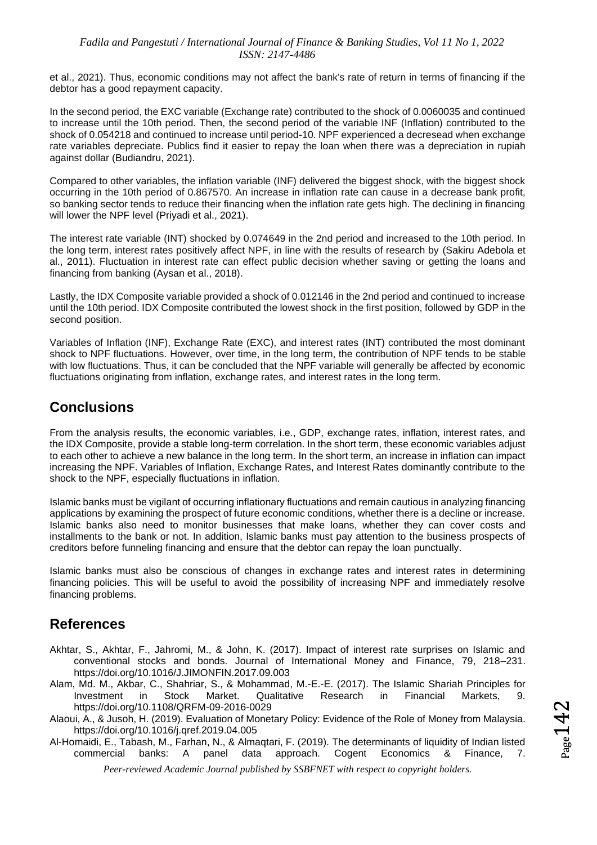et al., 2021). Thus, economic conditions may not affect the bank's rate of return in terms of financing if the debtor has a good repayment capacity.

In the second period, the EXC variable (Exchange rate) contributed to the shock of 0.0060035 and continued to increase until the 10th period. Then, the second period of the variable INF (Inflation) contributed to the shock of 0.054218 and continued to increase until period-10. NPF experienced a decresead when exchange rate variables depreciate. Publics find it easier to repay the loan when there was a depreciation in rupiah against dollar (Budiandru, 2021).

Compared to other variables, the inflation variable (INF) delivered the biggest shock, with the biggest shock occurring in the 10th period of 0.867570. An increase in inflation rate can cause in a decrease bank profit, so banking sector tends to reduce their financing when the inflation rate gets high. The declining in financing will lower the NPF level (Priyadi et al., 2021).

The interest rate variable (INT) shocked by 0.074649 in the 2nd period and increased to the 10th period. In the long term, interest rates positively affect NPF, in line with the results of research by (Sakiru Adebola et al., 2011). Fluctuation in interest rate can effect public decision whether saving or getting the loans and financing from banking (Aysan et al., 2018).

Lastly, the IDX Composite variable provided a shock of 0.012146 in the 2nd period and continued to increase until the 10th period. IDX Composite contributed the lowest shock in the first position, followed by GDP in the second position.

Variables of Inflation (INF), Exchange Rate (EXC), and interest rates (INT) contributed the most dominant shock to NPF fluctuations. However, over time, in the long term, the contribution of NPF tends to be stable with low fluctuations. Thus, it can be concluded that the NPF variable will generally be affected by economic fluctuations originating from inflation, exchange rates, and interest rates in the long term.

### **Conclusions**

From the analysis results, the economic variables, i.e., GDP, exchange rates, inflation, interest rates, and the IDX Composite, provide a stable long-term correlation. In the short term, these economic variables adjust to each other to achieve a new balance in the long term. In the short term, an increase in inflation can impact increasing the NPF. Variables of Inflation, Exchange Rates, and Interest Rates dominantly contribute to the shock to the NPF, especially fluctuations in inflation.

Islamic banks must be vigilant of occurring inflationary fluctuations and remain cautious in analyzing financing applications by examining the prospect of future economic conditions, whether there is a decline or increase. Islamic banks also need to monitor businesses that make loans, whether they can cover costs and installments to the bank or not. In addition, Islamic banks must pay attention to the business prospects of creditors before funneling financing and ensure that the debtor can repay the loan punctually.

Islamic banks must also be conscious of changes in exchange rates and interest rates in determining financing policies. This will be useful to avoid the possibility of increasing NPF and immediately resolve financing problems.

### **References**

- Akhtar, S., Akhtar, F., Jahromi, M., & John, K. (2017). Impact of interest rate surprises on Islamic and conventional stocks and bonds. Journal of International Money and Finance, 79, 218–231. https://doi.org/10.1016/J.JIMONFIN.2017.09.003
- Alam, Md. M., Akbar, C., Shahriar, S., & Mohammad, M.-E.-E. (2017). The Islamic Shariah Principles for Investment in Stock Market. Qualitative Research in Financial Markets, 9. https://doi.org/10.1108/QRFM-09-2016-0029
- Alaoui, A., & Jusoh, H. (2019). Evaluation of Monetary Policy: Evidence of the Role of Money from Malaysia. https://doi.org/10.1016/j.qref.2019.04.005
- Al-Homaidi, E., Tabash, M., Farhan, N., & Almaqtari, F. (2019). The determinants of liquidity of Indian listed commercial banks: A panel data approach. Cogent Economics & Finance, 7.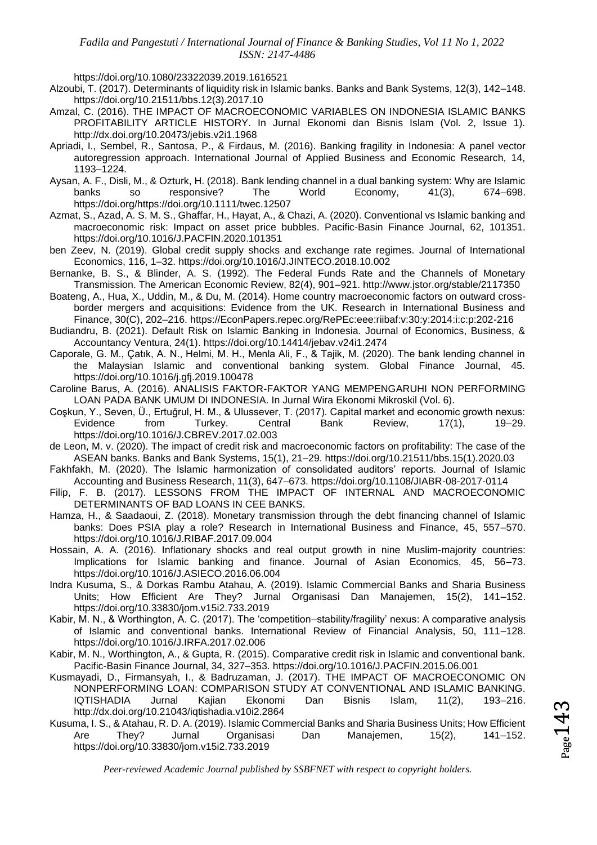https://doi.org/10.1080/23322039.2019.1616521

- Alzoubi, T. (2017). Determinants of liquidity risk in Islamic banks. Banks and Bank Systems, 12(3), 142–148. https://doi.org/10.21511/bbs.12(3).2017.10
- Amzal, C. (2016). THE IMPACT OF MACROECONOMIC VARIABLES ON INDONESIA ISLAMIC BANKS PROFITABILITY ARTICLE HISTORY. In Jurnal Ekonomi dan Bisnis Islam (Vol. 2, Issue 1). http://dx.doi.org/10.20473/jebis.v2i1.1968
- Apriadi, I., Sembel, R., Santosa, P., & Firdaus, M. (2016). Banking fragility in Indonesia: A panel vector autoregression approach. International Journal of Applied Business and Economic Research, 14, 1193–1224.
- Aysan, A. F., Disli, M., & Ozturk, H. (2018). Bank lending channel in a dual banking system: Why are Islamic banks so responsive? The World Economy, 41(3), 674–698. https://doi.org/https://doi.org/10.1111/twec.12507
- Azmat, S., Azad, A. S. M. S., Ghaffar, H., Hayat, A., & Chazi, A. (2020). Conventional vs Islamic banking and macroeconomic risk: Impact on asset price bubbles. Pacific-Basin Finance Journal, 62, 101351. https://doi.org/10.1016/J.PACFIN.2020.101351
- ben Zeev, N. (2019). Global credit supply shocks and exchange rate regimes. Journal of International Economics, 116, 1–32. https://doi.org/10.1016/J.JINTECO.2018.10.002
- Bernanke, B. S., & Blinder, A. S. (1992). The Federal Funds Rate and the Channels of Monetary Transmission. The American Economic Review, 82(4), 901–921. http://www.jstor.org/stable/2117350

Boateng, A., Hua, X., Uddin, M., & Du, M. (2014). Home country macroeconomic factors on outward crossborder mergers and acquisitions: Evidence from the UK. Research in International Business and Finance, 30(C), 202–216. https://EconPapers.repec.org/RePEc:eee:riibaf:v:30:y:2014:i:c:p:202-216

- Budiandru, B. (2021). Default Risk on Islamic Banking in Indonesia. Journal of Economics, Business, & Accountancy Ventura, 24(1). https://doi.org/10.14414/jebav.v24i1.2474
- Caporale, G. M., Çatık, A. N., Helmi, M. H., Menla Ali, F., & Tajik, M. (2020). The bank lending channel in the Malaysian Islamic and conventional banking system. Global Finance Journal, 45. https://doi.org/10.1016/j.gfj.2019.100478
- Caroline Barus, A. (2016). ANALISIS FAKTOR-FAKTOR YANG MEMPENGARUHI NON PERFORMING LOAN PADA BANK UMUM DI INDONESIA. In Jurnal Wira Ekonomi Mikroskil (Vol. 6).
- Coşkun, Y., Seven, Ü., Ertuğrul, H. M., & Ulussever, T. (2017). Capital market and economic growth nexus: Evidence from Turkey. Central Bank Review, 17(1), 19–29. https://doi.org/10.1016/J.CBREV.2017.02.003
- de Leon, M. v. (2020). The impact of credit risk and macroeconomic factors on profitability: The case of the ASEAN banks. Banks and Bank Systems, 15(1), 21–29. https://doi.org/10.21511/bbs.15(1).2020.03
- Fakhfakh, M. (2020). The Islamic harmonization of consolidated auditors' reports. Journal of Islamic Accounting and Business Research, 11(3), 647–673. https://doi.org/10.1108/JIABR-08-2017-0114
- Filip, F. B. (2017). LESSONS FROM THE IMPACT OF INTERNAL AND MACROECONOMIC DETERMINANTS OF BAD LOANS IN CEE BANKS.
- Hamza, H., & Saadaoui, Z. (2018). Monetary transmission through the debt financing channel of Islamic banks: Does PSIA play a role? Research in International Business and Finance, 45, 557–570. https://doi.org/10.1016/J.RIBAF.2017.09.004
- Hossain, A. A. (2016). Inflationary shocks and real output growth in nine Muslim-majority countries: Implications for Islamic banking and finance. Journal of Asian Economics, 45, 56–73. https://doi.org/10.1016/J.ASIECO.2016.06.004
- Indra Kusuma, S., & Dorkas Rambu Atahau, A. (2019). Islamic Commercial Banks and Sharia Business Units; How Efficient Are They? Jurnal Organisasi Dan Manajemen, 15(2), 141–152. https://doi.org/10.33830/jom.v15i2.733.2019
- Kabir, M. N., & Worthington, A. C. (2017). The 'competition–stability/fragility' nexus: A comparative analysis of Islamic and conventional banks. International Review of Financial Analysis, 50, 111–128. https://doi.org/10.1016/J.IRFA.2017.02.006
- Kabir, M. N., Worthington, A., & Gupta, R. (2015). Comparative credit risk in Islamic and conventional bank. Pacific-Basin Finance Journal, 34, 327–353. https://doi.org/10.1016/J.PACFIN.2015.06.001
- Kusmayadi, D., Firmansyah, I., & Badruzaman, J. (2017). THE IMPACT OF MACROECONOMIC ON NONPERFORMING LOAN: COMPARISON STUDY AT CONVENTIONAL AND ISLAMIC BANKING. IQTISHADIA Jurnal Kajian Ekonomi Dan Bisnis Islam, 11(2), 193–216. http://dx.doi.org/10.21043/iqtishadia.v10i2.2864
- Kusuma, I. S., & Atahau, R. D. A. (2019). Islamic Commercial Banks and Sharia Business Units; How Efficient Are They? Jurnal Organisasi Dan Manajemen, 15(2), 141–152. https://doi.org/10.33830/jom.v15i2.733.2019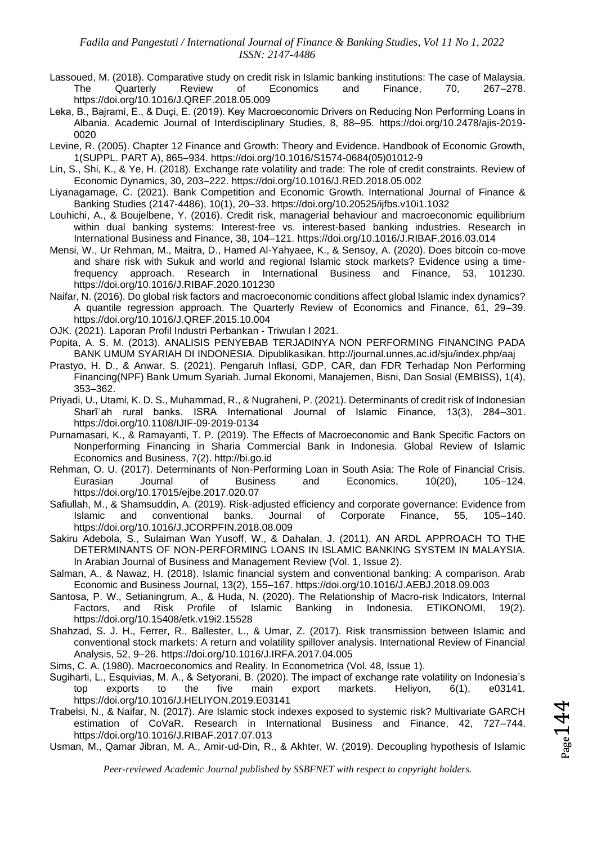- Lassoued, M. (2018). Comparative study on credit risk in Islamic banking institutions: The case of Malaysia.<br>The Quarterly Review of Economics and Finance, 70. 267–278. The Quarterly Review of Economics and Finance, 70, 267–278. https://doi.org/10.1016/J.QREF.2018.05.009
- Leka, B., Bajrami, E., & Duçi, E. (2019). Key Macroeconomic Drivers on Reducing Non Performing Loans in Albania. Academic Journal of Interdisciplinary Studies, 8, 88–95. https://doi.org/10.2478/ajis-2019- 0020
- Levine, R. (2005). Chapter 12 Finance and Growth: Theory and Evidence. Handbook of Economic Growth, 1(SUPPL. PART A), 865–934. https://doi.org/10.1016/S1574-0684(05)01012-9
- Lin, S., Shi, K., & Ye, H. (2018). Exchange rate volatility and trade: The role of credit constraints. Review of Economic Dynamics, 30, 203–222. https://doi.org/10.1016/J.RED.2018.05.002
- Liyanagamage, C. (2021). Bank Competition and Economic Growth. International Journal of Finance & Banking Studies (2147-4486), 10(1), 20–33. https://doi.org/10.20525/ijfbs.v10i1.1032
- Louhichi, A., & Boujelbene, Y. (2016). Credit risk, managerial behaviour and macroeconomic equilibrium within dual banking systems: Interest-free vs. interest-based banking industries. Research in International Business and Finance, 38, 104–121. https://doi.org/10.1016/J.RIBAF.2016.03.014
- Mensi, W., Ur Rehman, M., Maitra, D., Hamed Al-Yahyaee, K., & Sensoy, A. (2020). Does bitcoin co-move and share risk with Sukuk and world and regional Islamic stock markets? Evidence using a timefrequency approach. Research in International Business and Finance, 53, 101230. https://doi.org/10.1016/J.RIBAF.2020.101230
- Naifar, N. (2016). Do global risk factors and macroeconomic conditions affect global Islamic index dynamics? A quantile regression approach. The Quarterly Review of Economics and Finance, 61, 29–39. https://doi.org/10.1016/J.QREF.2015.10.004
- OJK. (2021). Laporan Profil Industri Perbankan Triwulan I 2021.
- Popita, A. S. M. (2013). ANALISIS PENYEBAB TERJADINYA NON PERFORMING FINANCING PADA BANK UMUM SYARIAH DI INDONESIA. Dipublikasikan. http://journal.unnes.ac.id/sju/index.php/aaj
- Prastyo, H. D., & Anwar, S. (2021). Pengaruh Inflasi, GDP, CAR, dan FDR Terhadap Non Performing Financing(NPF) Bank Umum Syariah. Jurnal Ekonomi, Manajemen, Bisni, Dan Sosial (EMBISS), 1(4), 353–362.
- Priyadi, U., Utami, K. D. S., Muhammad, R., & Nugraheni, P. (2021). Determinants of credit risk of Indonesian Sharīʿah rural banks. ISRA International Journal of Islamic Finance, 13(3), 284–301. https://doi.org/10.1108/IJIF-09-2019-0134
- Purnamasari, K., & Ramayanti, T. P. (2019). The Effects of Macroeconomic and Bank Specific Factors on Nonperforming Financing in Sharia Commercial Bank in Indonesia. Global Review of Islamic Economics and Business, 7(2). http://bi.go.id
- Rehman, O. U. (2017). Determinants of Non-Performing Loan in South Asia: The Role of Financial Crisis. Eurasian Journal of Business and Economics, 10(20), 105–124. https://doi.org/10.17015/ejbe.2017.020.07
- Safiullah, M., & Shamsuddin, A. (2019). Risk-adjusted efficiency and corporate governance: Evidence from Islamic and conventional banks. Journal of Corporate Finance, 55, 105–140. https://doi.org/10.1016/J.JCORPFIN.2018.08.009
- Sakiru Adebola, S., Sulaiman Wan Yusoff, W., & Dahalan, J. (2011). AN ARDL APPROACH TO THE DETERMINANTS OF NON-PERFORMING LOANS IN ISLAMIC BANKING SYSTEM IN MALAYSIA. In Arabian Journal of Business and Management Review (Vol. 1, Issue 2).
- Salman, A., & Nawaz, H. (2018). Islamic financial system and conventional banking: A comparison. Arab Economic and Business Journal, 13(2), 155–167. https://doi.org/10.1016/J.AEBJ.2018.09.003
- Santosa, P. W., Setianingrum, A., & Huda, N. (2020). The Relationship of Macro-risk Indicators, Internal Factors, and Risk Profile of Islamic Banking in Indonesia. ETIKONOMI, 19(2). https://doi.org/10.15408/etk.v19i2.15528
- Shahzad, S. J. H., Ferrer, R., Ballester, L., & Umar, Z. (2017). Risk transmission between Islamic and conventional stock markets: A return and volatility spillover analysis. International Review of Financial Analysis, 52, 9–26. https://doi.org/10.1016/J.IRFA.2017.04.005
- Sims, C. A. (1980). Macroeconomics and Reality. In Econometrica (Vol. 48, Issue 1).
- Sugiharti, L., Esquivias, M. A., & Setyorani, B. (2020). The impact of exchange rate volatility on Indonesia's top exports to the five main export markets. Heliyon, 6(1), e03141. https://doi.org/10.1016/J.HELIYON.2019.E03141
- Trabelsi, N., & Naifar, N. (2017). Are Islamic stock indexes exposed to systemic risk? Multivariate GARCH estimation of CoVaR. Research in International Business and Finance, 42, 727–744. https://doi.org/10.1016/J.RIBAF.2017.07.013
- Usman, M., Qamar Jibran, M. A., Amir-ud-Din, R., & Akhter, W. (2019). Decoupling hypothesis of Islamic